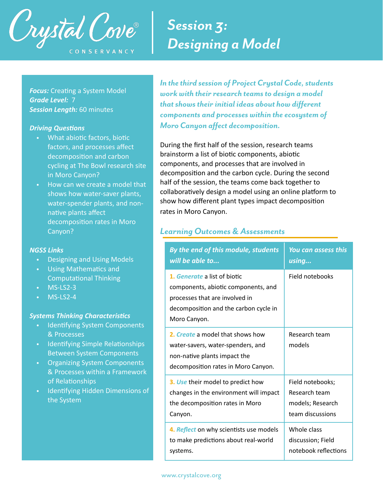

# *Session 3: Designing a Model*

**Focus:** Creating a System Model *Grade Level:* 7 *Session Length:* 60 minutes

#### **Driving Questions**

- What abiotic factors, biotic factors, and processes affect decomposition and carbon cycling at The Bowl research site in Moro Canyon?
- How can we create a model that shows how water-saver plants, water-spender plants, and nonnative plants affect decomposition rates in Moro Canyon?

### *NGSS Links*

- Designing and Using Models
- Using Mathematics and **Computational Thinking**
- MS-LS2-3
- MS-LS2-4

### **Systems Thinking Characteristics**

- Identifying System Components & Processes
- Identifying Simple Relationships Between System Components
- Organizing System Components & Processes within a Framework of Relationships
- Identifying Hidden Dimensions of the System

*In the third session of Project Crystal Code, students work with their research teams to design a model that shows their initial ideas about how different components and processes within the ecosystem of Moro Canyon affect decomposition.* 

During the first half of the session, research teams brainstorm a list of biotic components, abiotic components, and processes that are involved in decomposition and the carbon cycle. During the second half of the session, the teams come back together to collaboratively design a model using an online platform to show how different plant types impact decomposition rates in Moro Canyon.

### *Learning Outcomes & Assessments*

| By the end of this module, students                                                                                                                            | You can assess this     |
|----------------------------------------------------------------------------------------------------------------------------------------------------------------|-------------------------|
| will be able to                                                                                                                                                | using                   |
| 1. Generate a list of biotic<br>components, abiotic components, and<br>processes that are involved in<br>decomposition and the carbon cycle in<br>Moro Canyon. | Field notebooks         |
| 2. Create a model that shows how<br>water-savers, water-spenders, and<br>non-native plants impact the<br>decomposition rates in Moro Canyon.                   | Research team<br>models |
| 3. Use their model to predict how                                                                                                                              | Field notebooks;        |
| changes in the environment will impact                                                                                                                         | Research team           |
| the decomposition rates in Moro                                                                                                                                | models; Research        |
| Canyon.                                                                                                                                                        | team discussions        |
| 4. Reflect on why scientists use models                                                                                                                        | Whole class             |
| to make predictions about real-world                                                                                                                           | discussion; Field       |
| systems.                                                                                                                                                       | notebook reflections    |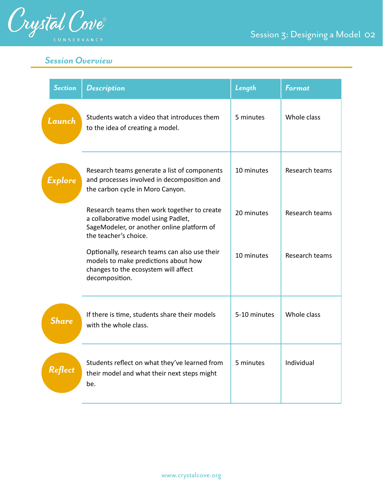

# *Session Overview*

| <b>Section</b> | <b>Description</b>                                                                                                                                        | Length       | <b>Format</b>  |
|----------------|-----------------------------------------------------------------------------------------------------------------------------------------------------------|--------------|----------------|
| Launch         | Students watch a video that introduces them<br>to the idea of creating a model.                                                                           | 5 minutes    | Whole class    |
| Explore        | Research teams generate a list of components<br>and processes involved in decomposition and<br>the carbon cycle in Moro Canyon.                           | 10 minutes   | Research teams |
|                | Research teams then work together to create<br>a collaborative model using Padlet,<br>SageModeler, or another online platform of<br>the teacher's choice. | 20 minutes   | Research teams |
|                | Optionally, research teams can also use their<br>models to make predictions about how<br>changes to the ecosystem will affect<br>decomposition.           | 10 minutes   | Research teams |
| <b>Share</b>   | If there is time, students share their models<br>with the whole class.                                                                                    | 5-10 minutes | Whole class    |
| Reflect        | Students reflect on what they've learned from<br>their model and what their next steps might<br>be.                                                       | 5 minutes    | Individual     |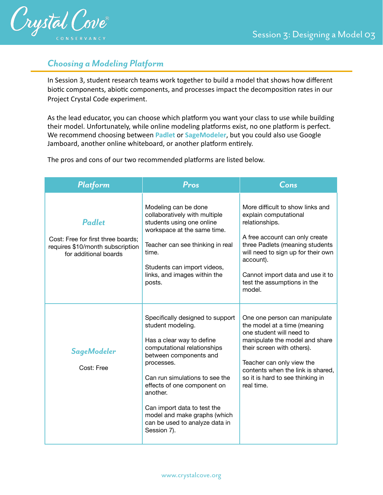

## *Choosing a Modeling Platform*

In Session 3, student research teams work together to build a model that shows how different biotic components, abiotic components, and processes impact the decomposition rates in our Project Crystal Code experiment.

As the lead educator, you can choose which platform you want your class to use while building their model. Unfortunately, while online modeling platforms exist, no one platform is perfect. We recommend choosing between **Padlet** or **SageModeler**, but you could also use Google Jamboard, another online whiteboard, or another platform entirely.

The pros and cons of our two recommended platforms are listed below.

| Platform                                                                                                         | Pros                                                                                                                                                                                                                                                                                                                                                   | Cons                                                                                                                                                                                                                                                                             |
|------------------------------------------------------------------------------------------------------------------|--------------------------------------------------------------------------------------------------------------------------------------------------------------------------------------------------------------------------------------------------------------------------------------------------------------------------------------------------------|----------------------------------------------------------------------------------------------------------------------------------------------------------------------------------------------------------------------------------------------------------------------------------|
| <b>Padlet</b><br>Cost: Free for first three boards;<br>requires \$10/month subscription<br>for additional boards | Modeling can be done<br>collaboratively with multiple<br>students using one online<br>workspace at the same time.<br>Teacher can see thinking in real<br>time.<br>Students can import videos,<br>links, and images within the<br>posts.                                                                                                                | More difficult to show links and<br>explain computational<br>relationships.<br>A free account can only create<br>three Padlets (meaning students<br>will need to sign up for their own<br>account).<br>Cannot import data and use it to<br>test the assumptions in the<br>model. |
| SageModeler<br>Cost: Free                                                                                        | Specifically designed to support<br>student modeling.<br>Has a clear way to define<br>computational relationships<br>between components and<br>processes.<br>Can run simulations to see the<br>effects of one component on<br>another.<br>Can import data to test the<br>model and make graphs (which<br>can be used to analyze data in<br>Session 7). | One one person can manipulate<br>the model at a time (meaning<br>one student will need to<br>manipulate the model and share<br>their screen with others).<br>Teacher can only view the<br>contents when the link is shared,<br>so it is hard to see thinking in<br>real time.    |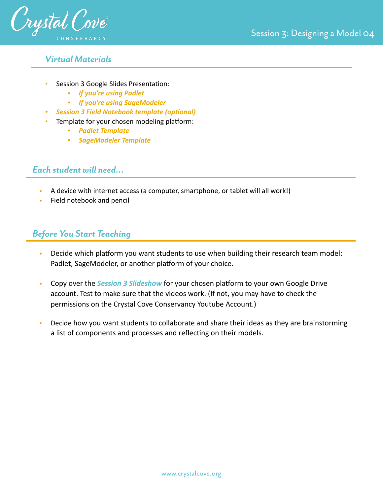

### *Virtual Materials*

- Session 3 Google Slides Presentation:
	- *• [If you're using Padlet](https://docs.google.com/presentation/d/1piel7ytZFGPr198rCpAlW6EJjEiK7vQC-ObCvbceY4U/edit?usp=sharing)*
	- *• [If you're using SageModeler](https://docs.google.com/presentation/d/1gzMGdnODEs_iEAxCcKG8ldFq1RbXwgnS8SoD1RLV8xo/edit?usp=sharing)*
	- *Session 3 Field Notebook template (optional)*
	- Template for your chosen modeling platform:
		- *• [Padlet Template](https://padlet.com/crystalcoveconservancy/2w9kn8nl01gavigk)*
		- *• [SageModeler Template](https://sagemodeler.concord.org/app/#shared=https://cfm-shared.concord.org/apllxYHTpLEVOhbuZkXw/file.json)*

### *Each student will need…*

- A device with internet access (a computer, smartphone, or tablet will all work!)
- Field notebook and pencil

## *Before You Start Teaching*

- Decide which platform you want students to use when building their research team model: Padlet, SageModeler, or another platform of your choice.
- Copy over the **Session 3 Slideshow** for your chosen platform to your own Google Drive account. Test to make sure that the videos work. (If not, you may have to check the permissions on the Crystal Cove Conservancy Youtube Account.)
- Decide how you want students to collaborate and share their ideas as they are brainstorming a list of components and processes and reflecting on their models.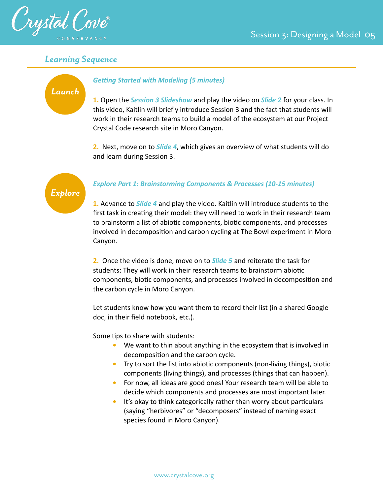

*Launch*

### *Learning Sequence*

### **Getting Started with Modeling (5 minutes)**

**1.** Open the *Session 3 Slideshow* and play the video on *Slide 2* for your class. In this video, Kaitlin will briefly introduce Session 3 and the fact that students will work in their research teams to build a model of the ecosystem at our Project Crystal Code research site in Moro Canyon.

**2.** Next, move on to *Slide 4*, which gives an overview of what students will do and learn during Session 3.

# *Explore*

### *Explore Part 1: Brainstorming Components & Processes (10-15 minutes)*

**1.** Advance to *Slide 4* and play the video. Kaitlin will introduce students to the first task in creating their model: they will need to work in their research team to brainstorm a list of abiotic components, biotic components, and processes involved in decomposition and carbon cycling at The Bowl experiment in Moro Canyon.

**2.** Once the video is done, move on to *Slide 5* and reiterate the task for students: They will work in their research teams to brainstorm abiotic components, biotic components, and processes involved in decomposition and the carbon cycle in Moro Canyon.

Let students know how you want them to record their list (in a shared Google doc, in their field notebook, etc.).

Some tips to share with students:

- *•* We want to thin about anything in the ecosystem that is involved in decomposition and the carbon cycle.
- Try to sort the list into abiotic components (non-living things), biotic components (living things), and processes (things that can happen).
- *•* For now, all ideas are good ones! Your research team will be able to decide which components and processes are most important later.
- It's okay to think categorically rather than worry about particulars (saying "herbivores" or "decomposers" instead of naming exact species found in Moro Canyon).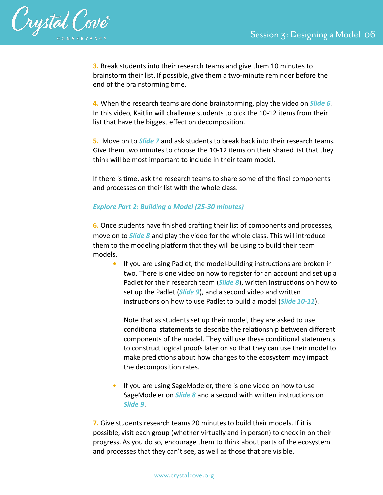

**3.** Break students into their research teams and give them 10 minutes to brainstorm their list. If possible, give them a two-minute reminder before the end of the brainstorming time.

**4***.* When the research teams are done brainstorming, play the video on *Slide 6*. In this video, Kaitlin will challenge students to pick the 10-12 items from their list that have the biggest effect on decomposition.

**5.** Move on to *Slide 7* and ask students to break back into their research teams. Give them two minutes to choose the 10-12 items on their shared list that they think will be most important to include in their team model.

If there is time, ask the research teams to share some of the final components and processes on their list with the whole class.

### *Explore Part 2: Building a Model (25-30 minutes)*

**6.** Once students have finished drafting their list of components and processes, move on to *Slide 8* and play the video for the whole class. This will introduce them to the modeling platform that they will be using to build their team models.

**If you are using Padlet, the model-building instructions are broken in** two. There is one video on how to register for an account and set up a Padlet for their research team (*Slide 8*), written instructions on how to set up the Padlet (*Slide 9*), and a second video and written instructions on how to use Padlet to build a model (*Slide 10-11*).

Note that as students set up their model, they are asked to use conditional statements to describe the relationship between different components of the model. They will use these conditional statements to construct logical proofs later on so that they can use their model to make predictions about how changes to the ecosystem may impact the decomposition rates.

• If you are using SageModeler, there is one video on how to use SageModeler on *Slide 8* and a second with written instructions on *Slide 9*.

**7.** Give students research teams 20 minutes to build their models. If it is possible, visit each group (whether virtually and in person) to check in on their progress. As you do so, encourage them to think about parts of the ecosystem and processes that they can't see, as well as those that are visible.